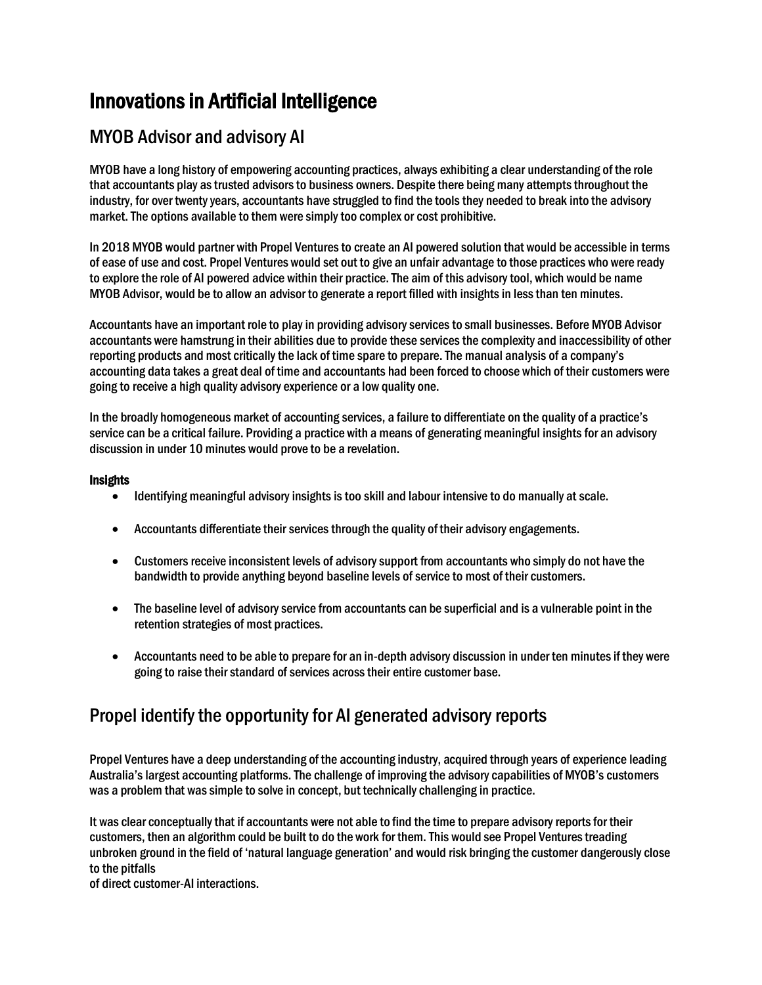# Innovations in Artificial Intelligence

## MYOB Advisor and advisory AI

MYOB have a long history of empowering accounting practices, always exhibiting a clear understanding of the role that accountants play as trusted advisors to business owners. Despite there being many attempts throughout the industry, for over twenty years, accountants have struggled to find the tools they needed to break into the advisory market. The options available to them were simply too complex or cost prohibitive.

In 2018 MYOB would partner with Propel Ventures to create an AI powered solution that would be accessible in terms of ease of use and cost. Propel Ventures would set out to give an unfair advantage to those practices who were ready to explore the role of AI powered advice within their practice. The aim of this advisory tool, which would be name MYOB Advisor, would be to allow an advisor to generate a report filled with insights in less than ten minutes.

Accountants have an important role to play in providing advisory services to small businesses. Before MYOB Advisor accountants were hamstrung in their abilities due to provide these services the complexity and inaccessibility of other reporting products and most critically the lack of time spare to prepare. The manual analysis of a company's accounting data takes a great deal of time and accountants had been forced to choose which of their customers were going to receive a high quality advisory experience or a low quality one.

In the broadly homogeneous market of accounting services, a failure to differentiate on the quality of a practice's service can be a critical failure. Providing a practice with a means of generating meaningful insights for an advisory discussion in under 10 minutes would prove to be a revelation.

#### **Insights**

- Identifying meaningful advisory insights is too skill and labour intensive to do manually at scale.
- Accountants differentiate their services through the quality of their advisory engagements.
- Customers receive inconsistent levels of advisory support from accountants who simply do not have the bandwidth to provide anything beyond baseline levels of service to most of their customers.
- The baseline level of advisory service from accountants can be superficial and is a vulnerable point in the retention strategies of most practices.
- Accountants need to be able to prepare for an in-depth advisory discussion in under ten minutes if they were going to raise their standard of services across their entire customer base.

### Propel identify the opportunity for AI generated advisory reports

Propel Ventures have a deep understanding of the accounting industry, acquired through years of experience leading Australia's largest accounting platforms. The challenge of improving the advisory capabilities of MYOB's customers was a problem that was simple to solve in concept, but technically challenging in practice.

It was clear conceptually that if accountants were not able to find the time to prepare advisory reports for their customers, then an algorithm could be built to do the work for them. This would see Propel Ventures treading unbroken ground in the field of 'natural language generation' and would risk bringing the customer dangerously close to the pitfalls

of direct customer-AI interactions.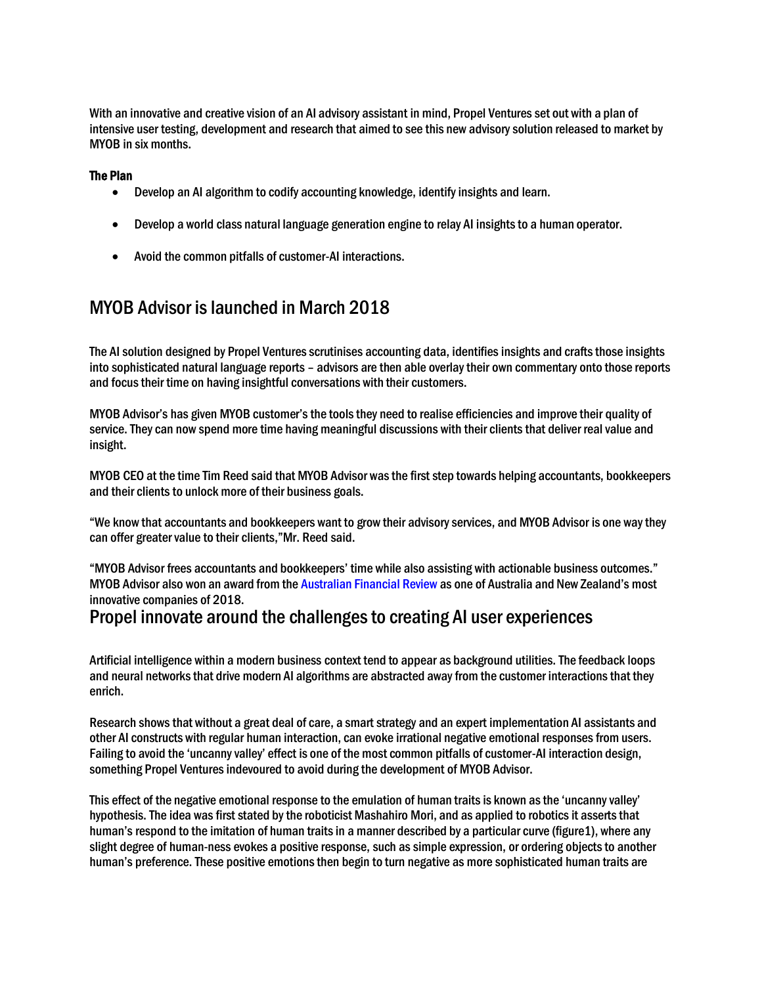With an innovative and creative vision of an AI advisory assistant in mind, Propel Ventures set out with a plan of intensive user testing, development and research that aimed to see this new advisory solution released to market by MYOB in six months.

#### The Plan

- Develop an AI algorithm to codify accounting knowledge, identify insights and learn.
- Develop a world class natural language generation engine to relay AI insights to a human operator.
- Avoid the common pitfalls of customer-AI interactions.

### MYOB Advisor is launched in March 2018

The AI solution designed by Propel Ventures scrutinises accounting data, identifies insights and crafts those insights into sophisticated natural language reports – advisors are then able overlay their own commentary onto those reports and focus their time on having insightful conversations with their customers.

MYOB Advisor's has given MYOB customer's the tools they need to realise efficiencies and improve their quality of service. They can now spend more time having meaningful discussions with their clients that deliver real value and insight.

MYOB CEO at the time Tim Reed said that MYOB Advisor was the first step towards helping accountants, bookkeepers and their clients to unlock more of their business goals.

"We know that accountants and bookkeepers want to grow their advisory services, and MYOB Advisor is one way they can offer greater value to their clients,"Mr. Reed said.

"MYOB Advisor frees accountants and bookkeepers' time while also assisting with actionable business outcomes." MYOB Advisor also won an award from the Australian Financial Review as one of Australia and New Zealand's most innovative companies of 2018.

### Propel innovate around the challenges to creating AI user experiences

Artificial intelligence within a modern business context tend to appear as background utilities. The feedback loops and neural networks that drive modern AI algorithms are abstracted away from the customer interactions that they enrich.

Research shows that without a great deal of care, a smart strategy and an expert implementation AI assistants and other AI constructs with regular human interaction, can evoke irrational negative emotional responses from users. Failing to avoid the 'uncanny valley' effect is one of the most common pitfalls of customer-AI interaction design, something Propel Ventures indevoured to avoid during the development of MYOB Advisor.

This effect of the negative emotional response to the emulation of human traitsis known as the 'uncanny valley' hypothesis. The idea was first stated by the roboticist Mashahiro Mori, and as applied to robotics it asserts that human's respond to the imitation of human traits in a manner described by a particular curve (figure1), where any slight degree of human-ness evokes a positive response, such assimple expression, or ordering objects to another human's preference. These positive emotions then begin to turn negative as more sophisticated human traits are